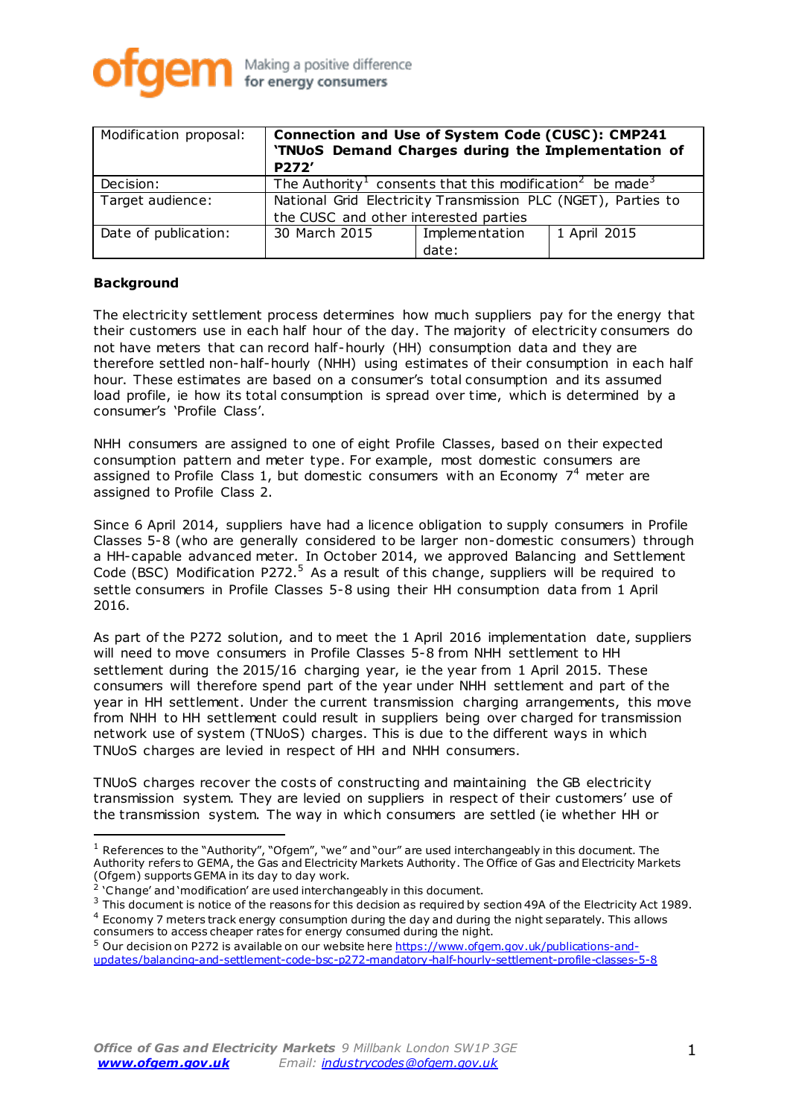

| Modification proposal: | <b>Connection and Use of System Code (CUSC): CMP241</b><br>'TNUoS Demand Charges during the Implementation of<br>P272' |                |              |
|------------------------|------------------------------------------------------------------------------------------------------------------------|----------------|--------------|
| Decision:              | The Authority <sup>1</sup> consents that this modification <sup>2</sup> be made <sup>3</sup>                           |                |              |
| Target audience:       | National Grid Electricity Transmission PLC (NGET), Parties to                                                          |                |              |
|                        | the CUSC and other interested parties                                                                                  |                |              |
| Date of publication:   | 30 March 2015                                                                                                          | Implementation | 1 April 2015 |
|                        |                                                                                                                        | date:          |              |

### **Background**

 $\overline{a}$ 

The electricity settlement process determines how much suppliers pay for the energy that their customers use in each half hour of the day. The majority of electricity consumers do not have meters that can record half-hourly (HH) consumption data and they are therefore settled non-half-hourly (NHH) using estimates of their consumption in each half hour. These estimates are based on a consumer's total consumption and its assumed load profile, ie how its total consumption is spread over time, which is determined by a consumer's 'Profile Class'.

NHH consumers are assigned to one of eight Profile Classes, based on their expected consumption pattern and meter type. For example, most domestic consumers are assigned to Profile Class 1, but domestic consumers with an Economy  $7<sup>4</sup>$  meter are assigned to Profile Class 2.

Since 6 April 2014, suppliers have had a licence obligation to supply consumers in Profile Classes 5-8 (who are generally considered to be larger non-domestic consumers) through a HH-capable advanced meter. In October 2014, we approved Balancing and Settlement Code (BSC) Modification P272.<sup>5</sup> As a result of this change, suppliers will be required to settle consumers in Profile Classes 5-8 using their HH consumption data from 1 April 2016.

As part of the P272 solution, and to meet the 1 April 2016 implementation date, suppliers will need to move consumers in Profile Classes 5-8 from NHH settlement to HH settlement during the 2015/16 charging year, ie the year from 1 April 2015. These consumers will therefore spend part of the year under NHH settlement and part of the year in HH settlement. Under the current transmission charging arrangements, this move from NHH to HH settlement could result in suppliers being over charged for transmission network use of system (TNUoS) charges. This is due to the different ways in which TNUoS charges are levied in respect of HH and NHH consumers.

TNUoS charges recover the costs of constructing and maintaining the GB electricity transmission system. They are levied on suppliers in respect of their customers' use of the transmission system. The way in which consumers are settled (ie whether HH or

 $1$  References to the "Authority", "Ofgem", "we" and "our" are used interchangeably in this document. The Authority refers to GEMA, the Gas and Electricity Markets Authority. The Office of Gas and Electricity Markets (Ofgem) supports GEMA in its day to day work.

<sup>&</sup>lt;sup>2</sup> 'Change' and 'modification' are used interchangeably in this document.

<sup>&</sup>lt;sup>3</sup> This document is notice of the reasons for this decision as required by section 49A of the Electricity Act 1989. <sup>4</sup> Economy 7 meters track energy consumption during the day and during the night separately. This allows consumers to access cheaper rates for energy consumed during the night.

<sup>&</sup>lt;sup>5</sup> Our decision on P272 is available on our website her[e https://www.ofgem.gov.uk/publications-and](https://www.ofgem.gov.uk/publications-and-updates/balancing-and-settlement-code-bsc-p272-mandatory-half-hourly-settlement-profile-classes-5-8)[updates/balancing-and-settlement-code-bsc-p272-mandatory-half-hourly-settlement-profile-classes-5-8](https://www.ofgem.gov.uk/publications-and-updates/balancing-and-settlement-code-bsc-p272-mandatory-half-hourly-settlement-profile-classes-5-8)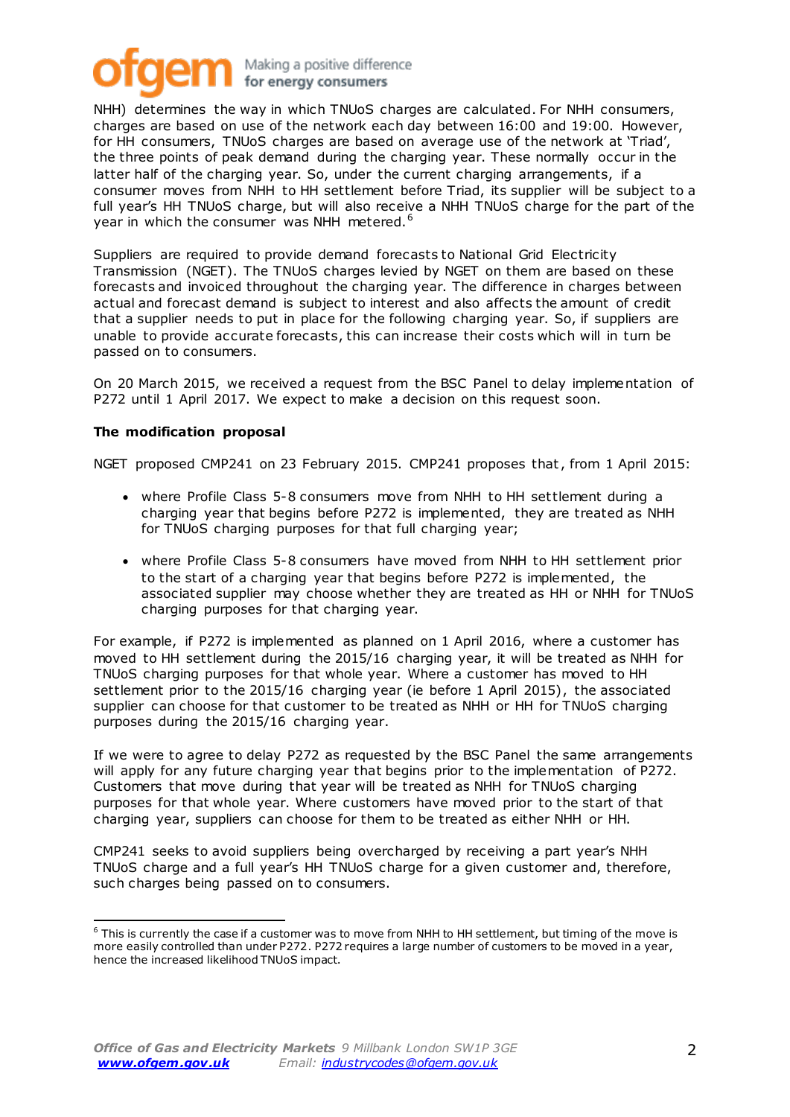## Making a positive difference for energy consumers

NHH) determines the way in which TNUoS charges are calculated. For NHH consumers, charges are based on use of the network each day between 16:00 and 19:00. However, for HH consumers, TNUoS charges are based on average use of the network at 'Triad', the three points of peak demand during the charging year. These normally occur in the latter half of the charging year. So, under the current charging arrangements, if a consumer moves from NHH to HH settlement before Triad, its supplier will be subject to a full year's HH TNUoS charge, but will also receive a NHH TNUoS charge for the part of the year in which the consumer was NHH metered.<sup>6</sup>

Suppliers are required to provide demand forecasts to National Grid Electricity Transmission (NGET). The TNUoS charges levied by NGET on them are based on these forecasts and invoiced throughout the charging year. The difference in charges between actual and forecast demand is subject to interest and also affects the amount of credit that a supplier needs to put in place for the following charging year. So, if suppliers are unable to provide accurate forecasts, this can increase their costs which will in turn be passed on to consumers.

On 20 March 2015, we received a request from the BSC Panel to delay implementation of P272 until 1 April 2017. We expect to make a decision on this request soon.

### **The modification proposal**

l

NGET proposed CMP241 on 23 February 2015. CMP241 proposes that, from 1 April 2015:

- where Profile Class 5-8 consumers move from NHH to HH settlement during a charging year that begins before P272 is implemented, they are treated as NHH for TNUoS charging purposes for that full charging year;
- where Profile Class 5-8 consumers have moved from NHH to HH settlement prior to the start of a charging year that begins before P272 is implemented, the associated supplier may choose whether they are treated as HH or NHH for TNUoS charging purposes for that charging year.

For example, if P272 is implemented as planned on 1 April 2016, where a customer has moved to HH settlement during the 2015/16 charging year, it will be treated as NHH for TNUoS charging purposes for that whole year. Where a customer has moved to HH settlement prior to the 2015/16 charging year (ie before 1 April 2015), the associated supplier can choose for that customer to be treated as NHH or HH for TNUoS charging purposes during the 2015/16 charging year.

If we were to agree to delay P272 as requested by the BSC Panel the same arrangements will apply for any future charging year that begins prior to the implementation of P272. Customers that move during that year will be treated as NHH for TNUoS charging purposes for that whole year. Where customers have moved prior to the start of that charging year, suppliers can choose for them to be treated as either NHH or HH.

CMP241 seeks to avoid suppliers being overcharged by receiving a part year's NHH TNUoS charge and a full year's HH TNUoS charge for a given customer and, therefore, such charges being passed on to consumers.

 $6$  This is currently the case if a customer was to move from NHH to HH settlement, but timing of the move is more easily controlled than under P272. P272 requires a large number of customers to be moved in a year, hence the increased likelihood TNUoS impact.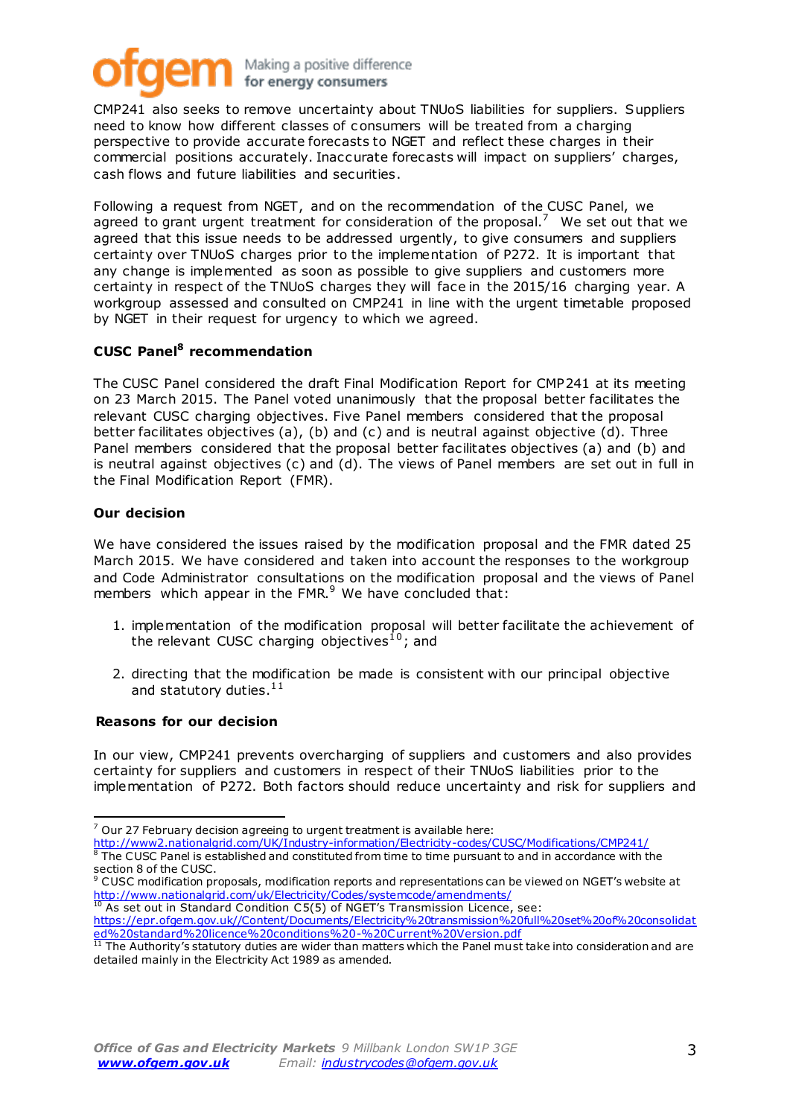## Making a positive difference for energy consumers

CMP241 also seeks to remove uncertainty about TNUoS liabilities for suppliers. Suppliers need to know how different classes of consumers will be treated from a charging perspective to provide accurate forecasts to NGET and reflect these charges in their commercial positions accurately. Inaccurate forecasts will impact on suppliers' charges, cash flows and future liabilities and securities.

Following a request from NGET, and on the recommendation of the CUSC Panel, we agreed to grant urgent treatment for consideration of the proposal.<sup>7</sup> We set out that we agreed that this issue needs to be addressed urgently, to give consumers and suppliers certainty over TNUoS charges prior to the implementation of P272. It is important that any change is implemented as soon as possible to give suppliers and customers more certainty in respect of the TNUoS charges they will face in the 2015/16 charging year. A workgroup assessed and consulted on CMP241 in line with the urgent timetable proposed by NGET in their request for urgency to which we agreed.

## **CUSC Panel<sup>8</sup> recommendation**

The CUSC Panel considered the draft Final Modification Report for CMP241 at its meeting on 23 March 2015. The Panel voted unanimously that the proposal better facilitates the relevant CUSC charging objectives. Five Panel members considered that the proposal better facilitates objectives (a), (b) and (c) and is neutral against objective (d). Three Panel members considered that the proposal better facilitates objectives (a) and (b) and is neutral against objectives (c) and (d). The views of Panel members are set out in full in the Final Modification Report (FMR).

### **Our decision**

 $\overline{a}$ 

We have considered the issues raised by the modification proposal and the FMR dated 25 March 2015. We have considered and taken into account the responses to the workgroup and Code Administrator consultations on the modification proposal and the views of Panel members which appear in the FMR.<sup>9</sup> We have concluded that:

- 1. implementation of the modification proposal will better facilitate the achievement of the relevant CUSC charging objectives<sup>10</sup>; and
- 2. directing that the modification be made is consistent with our principal objective and statutory duties.  $^{11}$

### **Reasons for our decision**

In our view, CMP241 prevents overcharging of suppliers and customers and also provides certainty for suppliers and customers in respect of their TNUoS liabilities prior to the implementation of P272. Both factors should reduce uncertainty and risk for suppliers and

 $7$  Our 27 February decision agreeing to urgent treatment is available here:

<http://www2.nationalgrid.com/UK/Industry-information/Electricity-codes/CUSC/Modifications/CMP241/> The CUSC Panel is established and constituted from time to time pursuant to and in accordance with the section 8 of the CUSC.

<sup>&</sup>lt;sup>9</sup> CUSC modification proposals, modification reports and representations can be viewed on NGET's website at <http://www.nationalgrid.com/uk/Electricity/Codes/systemcode/amendments/>

 $^{10}$  As set out in Standard Condition C5(5) of NGET's Transmission Licence, see: [https://epr.ofgem.gov.uk//Content/Documents/Electricity%20transmission%20full%20set%20of%20consolidat](https://epr.ofgem.gov.uk/Content/Documents/Electricity%20transmission%20full%20set%20of%20consolidated%20standard%20licence%20conditions%20-%20Current%20Version.pdf) [ed%20standard%20licence%20conditions%20-%20Current%20Version.](https://epr.ofgem.gov.uk/Content/Documents/Electricity%20transmission%20full%20set%20of%20consolidated%20standard%20licence%20conditions%20-%20Current%20Version.pdf)pdf

 $11$  The Authority's statutory duties are wider than matters which the Panel must take into consideration and are detailed mainly in the Electricity Act 1989 as amended.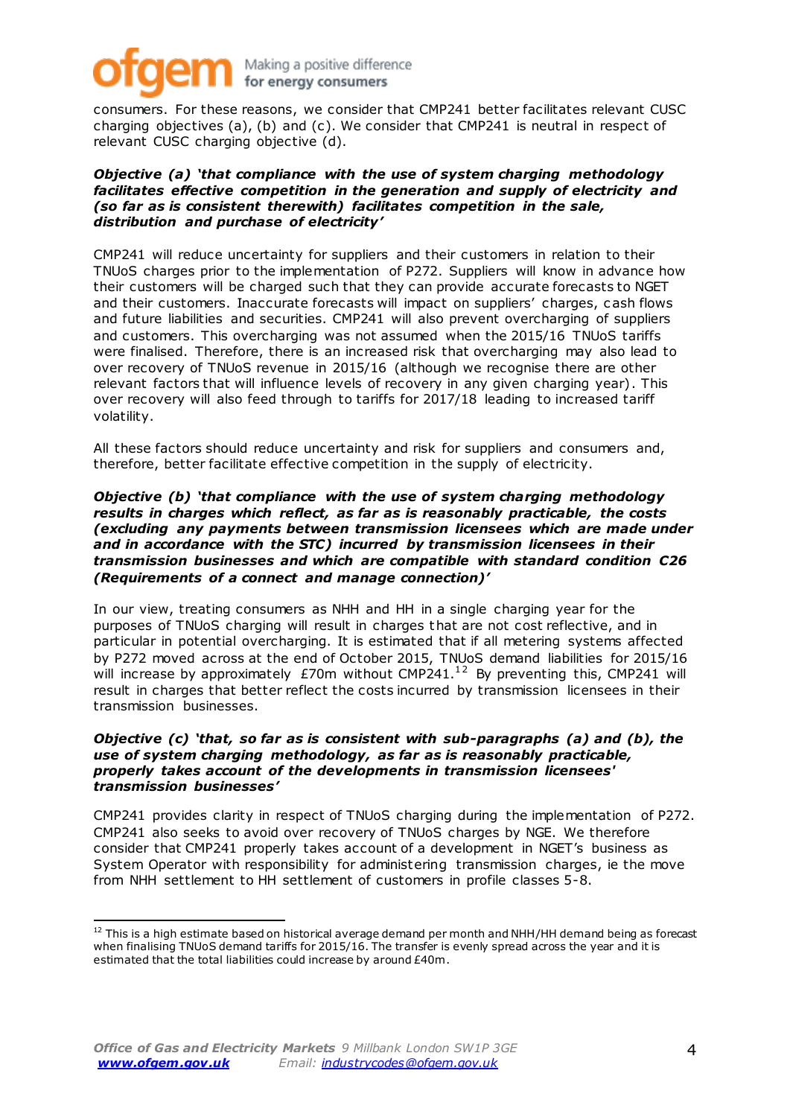# Making a positive difference for energy consumers

consumers. For these reasons, we consider that CMP241 better facilitates relevant CUSC charging objectives (a), (b) and (c). We consider that CMP241 is neutral in respect of relevant CUSC charging objective (d).

#### *Objective (a) 'that compliance with the use of system charging methodology facilitates effective competition in the generation and supply of electricity and (so far as is consistent therewith) facilitates competition in the sale, distribution and purchase of electricity'*

CMP241 will reduce uncertainty for suppliers and their customers in relation to their TNUoS charges prior to the implementation of P272. Suppliers will know in advance how their customers will be charged such that they can provide accurate forecasts to NGET and their customers. Inaccurate forecasts will impact on suppliers' charges, c ash flows and future liabilities and securities. CMP241 will also prevent overcharging of suppliers and customers. This overcharging was not assumed when the 2015/16 TNUoS tariffs were finalised. Therefore, there is an increased risk that overcharging may also lead to over recovery of TNUoS revenue in 2015/16 (although we recognise there are other relevant factors that will influence levels of recovery in any given charging year). This over recovery will also feed through to tariffs for 2017/18 leading to increased tariff volatility.

All these factors should reduce uncertainty and risk for suppliers and consumers and, therefore, better facilitate effective competition in the supply of electricity.

#### *Objective (b) 'that compliance with the use of system charging methodology results in charges which reflect, as far as is reasonably practicable, the costs (excluding any payments between transmission licensees which are made under and in accordance with the STC) incurred by transmission licensees in their transmission businesses and which are compatible with standard condition C26 (Requirements of a connect and manage connection)'*

In our view, treating consumers as NHH and HH in a single charging year for the purposes of TNUoS charging will result in charges that are not cost reflective, and in particular in potential overcharging. It is estimated that if all metering systems affected by P272 moved across at the end of October 2015, TNUoS demand liabilities for 2015/16 will increase by approximately  $E70$ m without CMP241.<sup>12</sup> By preventing this, CMP241 will result in charges that better reflect the costs incurred by transmission licensees in their transmission businesses.

#### *Objective (c) 'that, so far as is consistent with sub-paragraphs (a) and (b), the use of system charging methodology, as far as is reasonably practicable, properly takes account of the developments in transmission licensees' transmission businesses'*

CMP241 provides clarity in respect of TNUoS charging during the implementation of P272. CMP241 also seeks to avoid over recovery of TNUoS charges by NGE. We therefore consider that CMP241 properly takes account of a development in NGET's business as System Operator with responsibility for administering transmission charges, ie the move from NHH settlement to HH settlement of customers in profile classes 5-8.

l

<sup>&</sup>lt;sup>12</sup> This is a high estimate based on historical average demand per month and NHH/HH demand being as forecast when finalising TNUoS demand tariffs for 2015/16. The transfer is evenly spread across the year and it is estimated that the total liabilities could increase by around £40m.